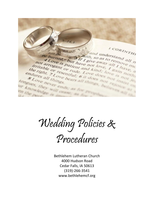I CORINTHI For the Bird and the CORINTHE **CACIF** be burned, S. 3 If I give away all nove metaple of resemble of rude. Love does four have, a burned, " but have not love all thave, a arrogant or rude. Love does not have, a not arrow is but have not love all I have, a<br>pritable or resentiute. Love does not have, a<br>right, 7 resentiut, 6 it does not love in the me.<br>right, 7 resentiut, 6 it does not is nothing not arrow is but have away all parove in Tritable or resentiul; 6 it does not in endures all things 8 Love hever ends, as the monday tongues, they will end ur knowledge

Wedding Policies & Procedures

Bethlehem Lutheran Church 4000 Hudson Road Cedar Falls, IA 50613 (319)-266-3541 www.bethlehemcf.org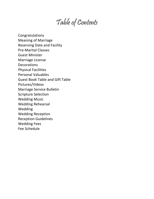### Table of Contents

Congratulations Meaning of Marriage Reserving Date and Facility Pre-Marital Classes Guest Minister Marriage License Decorations Physical Facilities Personal Valuables Guest Book Table and Gift Table Pictures/Videos Marriage Service Bulletin Scripture Selection Wedding Music Wedding Rehearsal Wedding Wedding Reception Reception Guidelines Wedding Fees Fee Schedule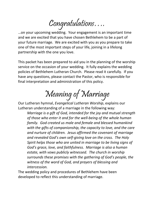Congratulations….

…on your upcoming wedding. Your engagement is an important time and we are excited that you have chosen Bethlehem to be a part of your future marriage. We are excited with you as you prepare to take one of the most important steps of your life, joining in a lifelong partnership with the one you love.

This packet has been prepared to aid you in the planning of the worship service on the occasion of your wedding. It fully explains the wedding policies of Bethlehem Lutheran Church. Please read it carefully. If you have any questions, please contact the Pastor, who is responsible for final interpretation and administration of this policy.

Meaning of Marriage

Our Lutheran hymnal, *Evangelical Lutheran Worship*, explains our Lutheran understanding of a marriage in the following way:

*Marriage is a gift of God, intended for the joy and mutual strength of those who enter it and for the well-being of the whole human family. God created us male and female and blessed humankind with the gifts of companionship, the capacity to love, and the care and nurture of children. Jesus affirmed the covenant of marriage and revealed God's own self-giving love on the cross. The Holy Spirit helps those who are united in marriage to be living signs of God's grace, love, and faithfulness. Marriage is also a human estate, with vows publicly witnessed. The church in worship surrounds these promises with the gathering of God's people, the witness of the word of God, and prayers of blessing and intercession.*

The wedding policy and procedures of Bethlehem have been developed to reflect this understanding of marriage.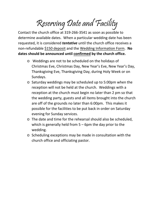Reserving Date and Facility

Contact the church office at 319-266-3541 as soon as possible to determine available dates. When a particular wedding date has been requested, it is considered *tentative* until the church office receives a non-refundable \$150 deposit and the Wedding Information Form. **No dates should be announced until confirmed by the church office.**

- o Weddings are not to be scheduled on the holidays of Christmas Eve, Christmas Day, New Year's Eve, New Year's Day, Thanksgiving Eve, Thanksgiving Day, during Holy Week or on Sundays.
- o Saturday weddings may be scheduled up to 5:00pm when the reception will not be held at the church. Weddings with a reception at the church must begin no later than 2 pm so that the wedding party, guests and all items brought into the church are off of the grounds no later than 6:00pm. This makes it possible for the facilities to be put back in order on Saturday evening for Sunday services.
- o The date and time for the rehearsal should also be scheduled, which is generally held from 5 – 6pm the day prior to the wedding.
- o Scheduling exceptions may be made in consultation with the church office and officiating pastor.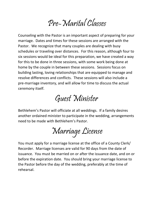## Pre-Marital Classes

Counseling with the Pastor is an important aspect of preparing for your marriage. Dates and times for these sessions are arranged with the Pastor. We recognize that many couples are dealing with busy schedules or traveling over distances. For this reason, although four to six sessions would be ideal for this preparation, we have created a way for this to be done in three sessions, with some work being done at home by the couple in between these sessions. Sessions focus on building lasting, loving relationships that are equipped to manage and resolve differences and conflicts. These sessions will also include a pre-marriage inventory, and will allow for time to discuss the actual ceremony itself.

## Guest Minister

Bethlehem's Pastor will officiate at all weddings. If a family desires another ordained minister to participate in the wedding, arrangements need to be made with Bethlehem's Pastor.

Marriage License

You must apply for a marriage license at the office of a County Clerk/ Recorder. Marriage licenses are valid for 90 days from the date of issuance. You must be married on or after the issuance date, and on or before the expiration date. You should bring your marriage license to the Pastor before the day of the wedding, preferably at the time of rehearsal.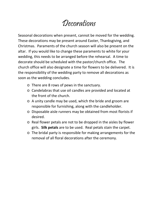## Decorations

Seasonal decorations when present, cannot be moved for the wedding. These decorations may be present around Easter, Thanksgiving, and Christmas. Paraments of the church season will also be present on the altar. If you would like to change these paraments to white for your wedding, this needs to be arranged before the rehearsal. A time to decorate should be scheduled with the pastor/church office. The church office will also designate a time for flowers to be delivered. It is the responsibility of the wedding party to remove all decorations as soon as the wedding concludes.

- o There are 8 rows of pews in the sanctuary.
- o Candelabras that use oil candles are provided and located at the front of the church.
- o A unity candle may be used, which the bride and groom are responsible for furnishing, along with the candleholder.
- o Disposable aisle runners may be obtained from most florists if desired.
- o Real flower petals are not to be dropped in the aisles by flower girls. **Silk petals** are to be used. Real petals stain the carpet.
- o The bridal party is responsible for making arrangements for the removal of all floral decorations after the ceremony.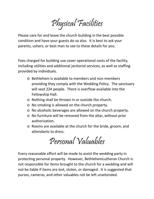Physical Facilities

Please care for and leave the church building in the best possible condition and have your guests do so also. It is best to ask your parents, ushers, or best man to see to these details for you.

Fees charged for building use cover operational costs of the facility, including utilities and additional janitorial services, as well as staffing provided by individuals.

- o Bethlehem is available to members and non-members providing they comply with the Wedding Policy. The sanctuary will seat 224 people. There is overflow available into the Fellowship Hall.
- o Nothing shall be thrown in or outside the church.
- o No smoking is allowed on the church property.
- o No alcoholic beverages are allowed on the church property.
- o No furniture will be removed from the altar, without prior authorization.
- o Rooms are available at the church for the bride, groom, and attendants to dress.

Personal Valuables

Every reasonable effort will be made to assist the wedding party in protecting personal property. However, BethlehemLutheran Church is not responsible for items brought to the church for a wedding and will not be liable if items are lost, stolen, or damaged. It is suggested that purses, cameras, and other valuables not be left unattended.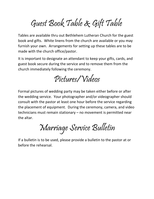# Guest Book Table & Gift Table

Tables are available thru out Bethlehem Lutheran Church for the guest book and gifts. White linens from the church are available or you may furnish your own. Arrangements for setting up these tables are to be made with the church office/pastor.

It is important to designate an attendant to keep your gifts, cards, and guest book secure during the service and to remove them from the church immediately following the ceremony.

Pictures/Videos

Formal pictures of wedding party may be taken either before or after the wedding service. Your photographer and/or videographer should consult with the pastor at least one hour before the service regarding the placement of equipment. During the ceremony, camera, and video technicians must remain stationary – no movement is permitted near the altar.

Marriage Service Bulletin

If a bulletin is to be used, please provide a bulletin to the pastor at or before the rehearsal.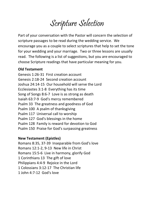Scripture Selection

Part of your conversation with the Pastor will concern the selection of scripture passages to be read during the wedding service. We encourage you as a couple to select scriptures that help to set the tone for your wedding and your marriage. Two or three lessons are usually read. The following is a list of suggestions, but you are encouraged to choose Scripture readings that have particular meaning for you.

### **Old Testament**

Genesis 1:26-31 First creation account Genesis 2:18-24 Second creation account Joshua 24:14-15 Our household will serve the Lord Ecclesiastes 3:1-8 Everything has its time Song of Songs 8:6-7 Love is as strong as death Isaiah 63:7-9 God's mercy remembered Psalm 33 The greatness and goodness of God Psalm 100 A psalm of thanksgiving Psalm 117 Universal call to worship Psalm 127 God's blessings in the home Psalm 128 Family is reward for devotion to God Psalm 150 Praise for God's surpassing greatness

### **New Testament (Epistles)**

Romans 8:35, 37-39 Inseparable from God's love Romans 12:1-2, 9-13 New life in Christ Romans 15:5-6 Live in harmony, glorify God 1 Corinthians 13 The gift of love Philippians 4:4-9 Rejoice in the Lord 1 Colossians 3:12-17 The Christian life 1 John 4:7-12 God's love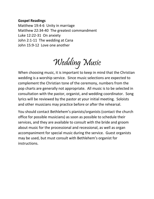### **Gospel Readings**

Matthew 19:4-6 Unity in marriage Matthew 22:34-40 The greatest commandment Luke 12:22-31 On anxiety John 2:1-11 The wedding at Cana John 15:9-12 Love one another

Wedding Music

When choosing music, it is important to keep in mind that the Christian wedding is a worship service. Since music selections are expected to complement the Christian tone of the ceremony, numbers from the pop charts are generally not appropriate. All music is to be selected in consultation with the pastor, organist, and wedding coordinator. Song lyrics will be reviewed by the pastor at your initial meeting. Soloists and other musicians may practice before or after the rehearsal.

You should contact Bethlehem's pianists/organists (contact the church office for possible musicians) as soon as possible to schedule their services, and they are available to consult with the bride and groom about music for the processional and recessional, as well as organ accompaniment for special music during the service. Guest organists may be used, but must consult with Bethlehem's organist for instructions.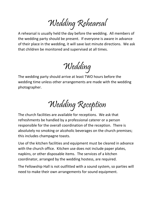Wedding Rehearsal

A rehearsal is usually held the day before the wedding. All members of the wedding party should be present. If everyone is aware in advance of their place in the wedding, it will save last minute directions. We ask that children be monitored and supervised at all times.

Wedding

The wedding party should arrive at least TWO hours before the wedding time unless other arrangements are made with the wedding photographer.

Wedding Reception

The church facilities are available for receptions. We ask that refreshments be handled by a professional caterer or a person responsible for the overall coordination of the reception. There is absolutely no smoking or alcoholic beverages on the church premises; this includes champagne toasts.

Use of the kitchen facilities and equipment must be cleared in advance with the church office. Kitchen use does not include paper plates, napkins, or other disposable items. The services of a kitchen coordinator, arranged by the wedding hostess, are required.

The Fellowship Hall is not outfitted with a sound system, so parties will need to make their own arrangements for sound equipment.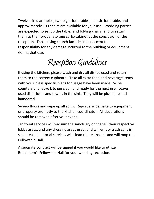Twelve circular tables, two-eight foot tables, one six-foot table, and approximately 100 chairs are available for your use. Wedding parties are expected to set up the tables and folding chairs, and to return them to their proper storage carts/cabinet at the conclusion of the reception. Those using church facilities must accept full responsibility for any damage incurred to the building or equipment during that use.

Reception Guidelines

If using the kitchen, please wash and dry all dishes used and return them to the correct cupboard. Take all extra food and beverage items with you unless specific plans for usage have been made. Wipe counters and leave kitchen clean and ready for the next use. Leave used dish cloths and towels in the sink. They will be picked up and laundered.

Sweep floors and wipe up all spills. Report any damage to equipment or property promptly to the kitchen coordinator. All decorations should be removed after your event.

Janitorial services will vacuum the sanctuary or chapel, their respective lobby areas, and any dressing areas used, and will empty trash cans in said areas. Janitorial services will clean the restrooms and will mop the Fellowship Hall.

A separate contract will be signed if you would like to utilize Bethlehem's Fellowship Hall for your wedding reception.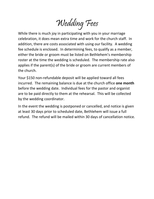Wedding Fees

While there is much joy in participating with you in your marriage celebration, it does mean extra time and work for the church staff. In addition, there are costs associated with using our facility. A wedding fee schedule is enclosed. In determining fees, to qualify as a member, either the bride or groom must be listed on Bethlehem's membership roster at the time the wedding is scheduled. The membership rate also applies if the parent(s) of the bride or groom are current members of the church.

Your \$150 non-refundable deposit will be applied toward all fees incurred. The remaining balance is due at the church office **one month** before the wedding date. Individual fees for the pastor and organist are to be paid directly to them at the rehearsal. This will be collected by the wedding coordinator.

In the event the wedding is postponed or cancelled, and notice is given at least 30 days prior to scheduled date, Bethlehem will issue a full refund. The refund will be mailed within 30 days of cancellation notice.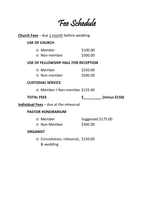## Fee Schedule

### **Church Fees** - due 1 month before wedding

### **USE OF CHURCH**

| o Member     | \$100.00 |
|--------------|----------|
| o Non-member | \$300.00 |

### **USE OF FELLOWSHIP HALL FOR RECEPTION**

| o <b>Member</b>    | \$250.00 |
|--------------------|----------|
| $\circ$ Non-member | \$500.00 |

### **CUSTODIAL SERVICE**

o Member / Non-member \$125.00

| <b>TOTAL FEES</b> |  | (minus \$150) |
|-------------------|--|---------------|
|-------------------|--|---------------|

**Individual Fees** – due at the rehearsal

### **PASTOR HONORARIUM**

| o <b>Member</b> | Suggested \$175.00 |
|-----------------|--------------------|
| o Non-Member    | \$300.00           |

### **ORGANIST**

o Consultation, rehearsal, \$150.00 & wedding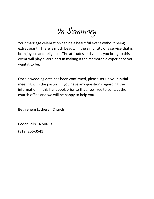In Summary

Your marriage celebration can be a beautiful event without being extravagant. There is much beauty in the simplicity of a service that is both joyous and religious. The attitudes and values you bring to this event will play a large part in making it the memorable experience you want it to be.

Once a wedding date has been confirmed, please set up your initial meeting with the pastor. If you have any questions regarding the information in this handbook prior to that, feel free to contact the church office and we will be happy to help you.

Bethlehem Lutheran Church

Cedar Falls, IA 50613

(319) 266-3541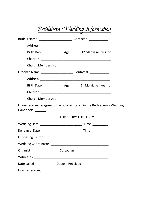# Bethlehem's Wedding Information

| Bride's Name ___________________________________ Contact # _____________________ |                                                                                                                        |
|----------------------------------------------------------------------------------|------------------------------------------------------------------------------------------------------------------------|
|                                                                                  |                                                                                                                        |
| Birth Date $\frac{1}{\sqrt{2}}$ Age $\frac{1}{\sqrt{2}}$ Marriage yes no         |                                                                                                                        |
|                                                                                  |                                                                                                                        |
|                                                                                  |                                                                                                                        |
|                                                                                  |                                                                                                                        |
|                                                                                  |                                                                                                                        |
| Birth Date _________________ Age _______ 1 <sup>st</sup> Marriage yes no         |                                                                                                                        |
|                                                                                  |                                                                                                                        |
|                                                                                  |                                                                                                                        |
| I have received & agree to the policies stated in the Bethlehem's Wedding        |                                                                                                                        |
|                                                                                  | <b>FOR CHURCH USE ONLY</b>                                                                                             |
|                                                                                  |                                                                                                                        |
|                                                                                  |                                                                                                                        |
|                                                                                  |                                                                                                                        |
|                                                                                  |                                                                                                                        |
| Organist ________________________ Custodian                                      | <u> 1990 - Johann John Harry Harry Harry Harry Harry Harry Harry Harry Harry Harry Harry Harry Harry Harry Harry H</u> |
|                                                                                  |                                                                                                                        |
| Date called in ____________ Deposit Received ________                            |                                                                                                                        |
| License received ______________                                                  |                                                                                                                        |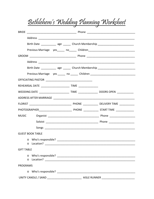| Bethlehem's Wedding Planning Worksheet                                                   |  |
|------------------------------------------------------------------------------------------|--|
|                                                                                          |  |
|                                                                                          |  |
| Birth Date _____________ age _______ Church Membership _________________________         |  |
| Previous Marriage yes _____ no _____ Children __________________________________         |  |
|                                                                                          |  |
|                                                                                          |  |
| Birth Date ____________ age ______ Church Membership ___________________________         |  |
| Previous Marriage yes _____ no _____ Children __________________________________         |  |
|                                                                                          |  |
|                                                                                          |  |
| WEDDING DATE __________________________TIME ____________________ DOORS OPEN ____________ |  |
|                                                                                          |  |
|                                                                                          |  |
|                                                                                          |  |
|                                                                                          |  |
|                                                                                          |  |
|                                                                                          |  |
| <b>GUEST BOOK TABLE</b>                                                                  |  |
|                                                                                          |  |
| <b>GIFT TABLE</b>                                                                        |  |
| $\Omega$<br>$\circ$                                                                      |  |
| <b>PROGRAMS</b>                                                                          |  |
| $\circ$                                                                                  |  |
|                                                                                          |  |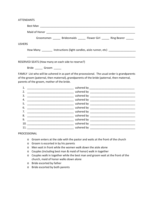ATTENDANTS

| Groomsmen _______ Bridesmaids ______ Flower Girl ______ Ring Bearer ______       |
|----------------------------------------------------------------------------------|
| <b>USHERS</b>                                                                    |
| How Many ________ Instructions (light candles, aisle runner, etc) ______________ |
|                                                                                  |
| RESERVED SEATS (How many on each side to reserve?)                               |
| Bride Groom                                                                      |
|                                                                                  |

FAMILY List who will be ushered in as part of the processional. The usual order is grandparents of the groom (paternal, then maternal), grandparents of the bride (paternal, then maternal, parents of the groom, mother of the bride.

| 1.  | ushered by $\frac{1}{2}$ ushered by $\frac{1}{2}$ and $\frac{1}{2}$ and $\frac{1}{2}$ and $\frac{1}{2}$ and $\frac{1}{2}$ and $\frac{1}{2}$ and $\frac{1}{2}$ and $\frac{1}{2}$ and $\frac{1}{2}$ and $\frac{1}{2}$ and $\frac{1}{2}$ and $\frac{1}{2}$ and $\frac{1}{2}$ and $\frac{1}{2$ |
|-----|--------------------------------------------------------------------------------------------------------------------------------------------------------------------------------------------------------------------------------------------------------------------------------------------|
| 2.  | ushered by ______________________                                                                                                                                                                                                                                                          |
| 3.  |                                                                                                                                                                                                                                                                                            |
| 4.  | ushered by _________                                                                                                                                                                                                                                                                       |
| 5.  | ushered by _____________                                                                                                                                                                                                                                                                   |
| 6.  | __ ushered by ___________                                                                                                                                                                                                                                                                  |
| 7.  | ushered by _____________                                                                                                                                                                                                                                                                   |
| 8.  |                                                                                                                                                                                                                                                                                            |
| 9.  |                                                                                                                                                                                                                                                                                            |
| 10. |                                                                                                                                                                                                                                                                                            |
| 11. | ushered by                                                                                                                                                                                                                                                                                 |
|     |                                                                                                                                                                                                                                                                                            |

PROCESSIONAL

- o Groom enters at the side with the pastor and waits at the front of the church
- o Groom is escorted in by his parents
- o Men wait in front while the women walk down the aisle alone
- o Couples (including best man & maid of honor) walk in together
- o Couples walk in together while the best man and groom wait at the front of the church, maid of honor walks down alone
- o Bride escorted by father
- o Bride escorted by both parents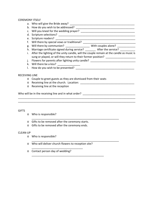#### CEREMONY ITSELF

- a. Who will give the Bride away? \_\_\_\_\_\_\_\_\_\_\_\_\_\_\_\_\_\_\_\_\_\_\_\_\_\_\_\_\_\_\_\_\_\_\_\_\_\_\_\_\_\_\_
- b. How do you wish to be addressed? **Example 20** Figure 20 Figure 20 Figure 20 Figure 20 Figure 20 Figure 20 Figure

c. Will you kneel for the wedding prayer? \_\_\_\_\_\_\_\_\_\_\_\_\_\_\_\_\_\_\_\_\_\_\_\_\_\_\_\_\_\_\_\_\_\_\_\_

- d. Scripture selections? \_\_\_\_\_\_\_\_\_\_\_\_\_\_\_\_\_\_\_\_\_\_\_\_\_\_\_\_\_\_\_\_\_\_\_\_\_\_\_\_\_\_\_\_\_\_\_\_\_\_\_
- e. Scripture readers?

f. Will there by special vows or traditional?

- g. Will there by communion? \_\_\_\_\_\_\_\_\_\_\_\_\_\_\_\_\_\_\_\_\_ With couples alone? \_\_\_\_\_\_\_\_\_\_
- h. Marriage certificate signed during service? \_\_\_\_\_\_\_\_ After the service? \_\_\_\_\_\_\_\_\_\_

\_\_\_\_\_\_\_\_\_\_\_\_\_\_\_\_\_\_\_\_\_\_\_\_\_\_\_\_\_\_\_\_\_\_\_\_\_\_\_\_\_\_\_\_\_\_\_\_\_\_\_\_\_\_\_\_\_\_\_\_\_\_\_\_\_\_\_\_\_\_\_\_\_\_\_\_\_\_ \_\_\_\_\_\_\_\_\_\_\_\_\_\_\_\_\_\_\_\_\_\_\_\_\_\_\_\_\_\_\_\_\_\_\_\_\_\_\_\_\_\_\_\_\_\_\_\_\_\_\_\_\_\_\_\_\_\_\_\_\_\_\_\_\_\_\_\_\_\_\_\_\_\_\_\_\_\_

\_\_\_\_\_\_\_\_\_\_\_\_\_\_\_\_\_\_\_\_\_\_\_\_\_\_\_\_\_\_\_\_\_\_\_\_\_\_\_\_\_\_\_\_\_\_\_\_\_\_\_\_\_\_\_\_\_\_

\_\_\_\_\_\_\_\_\_\_\_\_\_\_\_\_\_\_\_\_\_\_\_\_\_\_\_\_\_\_\_\_\_\_\_\_\_\_\_\_\_\_\_\_\_\_\_\_\_\_\_\_\_\_\_\_\_\_

- i. After the lighting of the unity candle, will the couple remain at the candle as music is sung or played, or will they return to their former position? \_\_\_\_\_\_\_\_\_\_\_\_\_\_\_\_\_\_
- j. Flowers for parents after lighting unity candle? \_\_\_\_\_\_\_\_\_\_\_\_\_\_\_\_\_\_\_\_\_\_\_\_\_\_\_\_
- k. Will there be a kiss?
- $\blacksquare$  How do you wish to be presented?

#### RECEIVING LINE

- o Couple to greet guests as they are dismissed from their seats
- o Receiving line at the church. Location:  $\Box$
- o Receiving line at the reception

Who will be in the receiving line and in what order? \_\_\_\_\_\_\_\_\_\_\_\_\_\_\_\_\_\_\_\_\_\_\_\_\_\_\_\_\_\_\_\_\_\_\_

#### **GIFTS**

- o Who is responsible?
- o Gifts to be removed after the ceremony starts.
- o Gifts to be removed after the ceremony ends.

#### CLEAN-UP

- o Who is responsible?
- o Who will deliver church flowers to reception site?

\_\_\_\_\_\_\_\_\_\_\_\_\_\_\_\_\_\_\_\_\_\_\_\_\_\_\_\_\_\_\_\_\_\_\_\_\_\_\_\_\_\_\_\_\_\_\_\_

\_\_\_\_\_\_\_\_\_\_\_\_\_\_\_\_\_\_\_\_\_\_\_\_\_\_\_\_\_\_\_\_\_\_

o Contact person day of wedding?